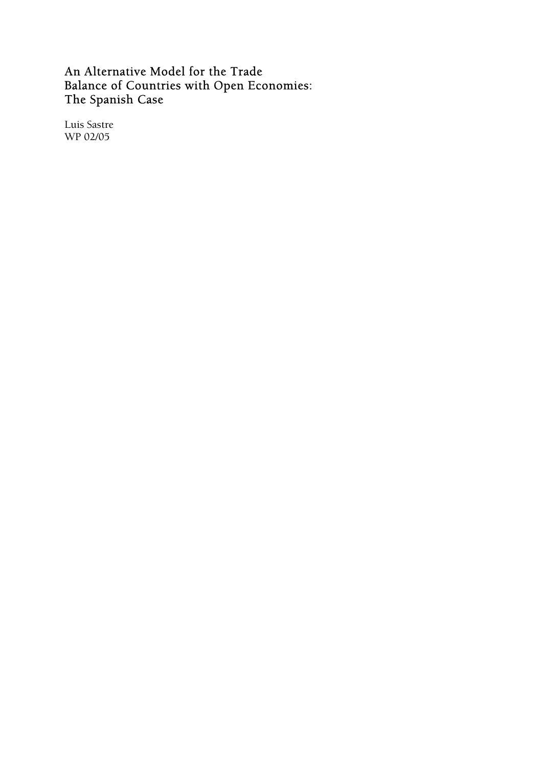## An Alternative Model for the Trade Balance of Countries with Open Economies: The Spanish Case

Luis Sastre WP 02/05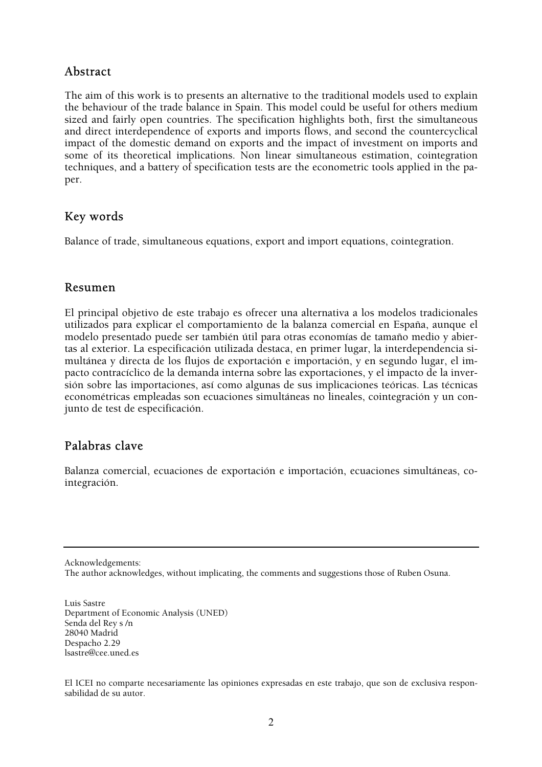## Abstract

The aim of this work is to presents an alternative to the traditional models used to explain the behaviour of the trade balance in Spain. This model could be useful for others medium sized and fairly open countries. The specification highlights both, first the simultaneous and direct interdependence of exports and imports flows, and second the countercyclical impact of the domestic demand on exports and the impact of investment on imports and some of its theoretical implications. Non linear simultaneous estimation, cointegration techniques, and a battery of specification tests are the econometric tools applied in the paper.

## Key words

Balance of trade, simultaneous equations, export and import equations, cointegration.

### Resumen

El principal objetivo de este trabajo es ofrecer una alternativa a los modelos tradicionales utilizados para explicar el comportamiento de la balanza comercial en España, aunque el modelo presentado puede ser también útil para otras economías de tamaño medio y abiertas al exterior. La especificación utilizada destaca, en primer lugar, la interdependencia simultánea y directa de los flujos de exportación e importación, y en segundo lugar, el impacto contracíclico de la demanda interna sobre las exportaciones, y el impacto de la inversión sobre las importaciones, así como algunas de sus implicaciones teóricas. Las técnicas econométricas empleadas son ecuaciones simultáneas no lineales, cointegración y un conjunto de test de especificación.

### Palabras clave

Balanza comercial, ecuaciones de exportación e importación, ecuaciones simultáneas, cointegración.

Acknowledgements:

The author acknowledges, without implicating, the comments and suggestions those of Ruben Osuna.

Luis Sastre Department of Economic Analysis (UNED) Senda del Rey s /n 28040 Madrid Despacho 2.29 lsastre@cee.uned.es

El ICEI no comparte necesariamente las opiniones expresadas en este trabajo, que son de exclusiva responsabilidad de su autor.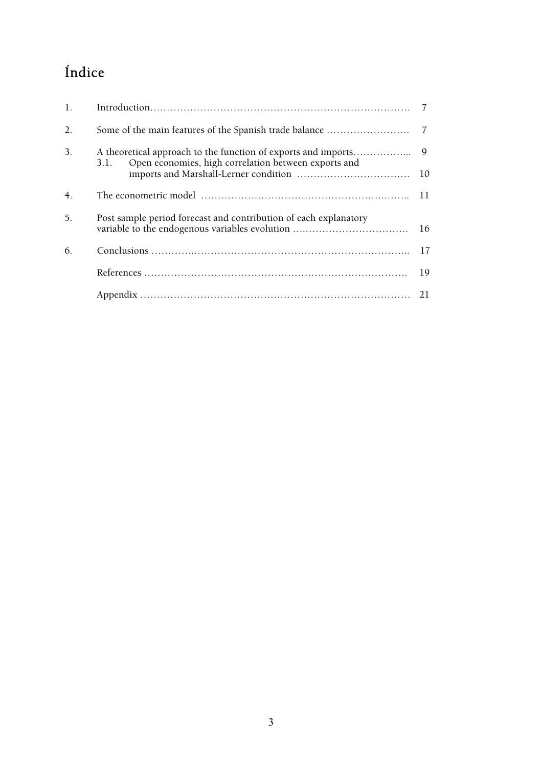# Índice

| 1. |                                                                                                                               |    |
|----|-------------------------------------------------------------------------------------------------------------------------------|----|
| 2. |                                                                                                                               |    |
| 3. | A theoretical approach to the function of exports and imports<br>Open economies, high correlation between exports and<br>3.1. | 9  |
|    |                                                                                                                               | 10 |
| 4. |                                                                                                                               | 11 |
| 5. | Post sample period forecast and contribution of each explanatory                                                              | 16 |
| 6. |                                                                                                                               | 17 |
|    |                                                                                                                               | 19 |
|    |                                                                                                                               |    |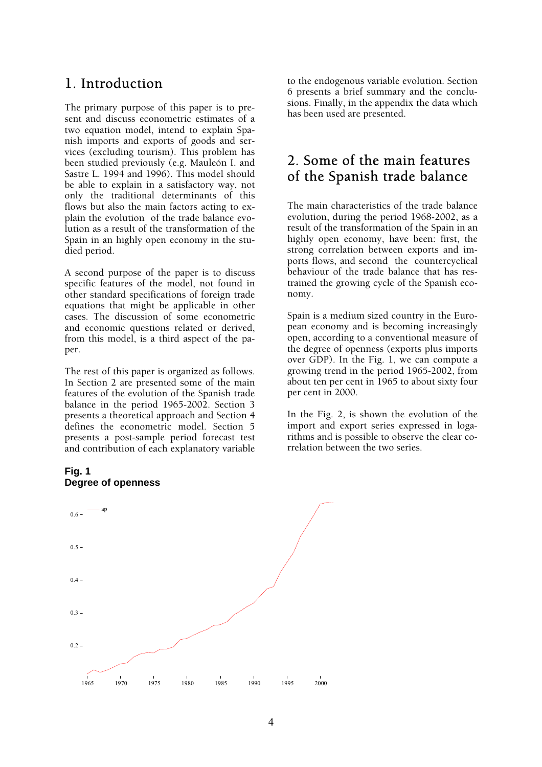## 1. Introduction

The primary purpose of this paper is to present and discuss econometric estimates of a two equation model, intend to explain Spanish imports and exports of goods and services (excluding tourism). This problem has been studied previously (e.g. Mauleón I. and Sastre L. 1994 and 1996). This model should be able to explain in a satisfactory way, not only the traditional determinants of this flows but also the main factors acting to explain the evolution of the trade balance evolution as a result of the transformation of the Spain in an highly open economy in the studied period.

A second purpose of the paper is to discuss specific features of the model, not found in other standard specifications of foreign trade equations that might be applicable in other cases. The discussion of some econometric and economic questions related or derived, from this model, is a third aspect of the paper.

The rest of this paper is organized as follows. In Section 2 are presented some of the main features of the evolution of the Spanish trade balance in the period 1965-2002. Section 3 presents a theoretical approach and Section 4 defines the econometric model. Section 5 presents a post-sample period forecast test and contribution of each explanatory variable

### **Fig. 1 Degree of openness**

to the endogenous variable evolution. Section 6 presents a brief summary and the conclusions. Finally, in the appendix the data which has been used are presented.

## 2. Some of the main features of the Spanish trade balance

The main characteristics of the trade balance evolution, during the period 1968-2002, as a result of the transformation of the Spain in an highly open economy, have been: first, the strong correlation between exports and imports flows, and second the countercyclical behaviour of the trade balance that has restrained the growing cycle of the Spanish economy.

Spain is a medium sized country in the European economy and is becoming increasingly open, according to a conventional measure of the degree of openness (exports plus imports over GDP). In the Fig. 1, we can compute a growing trend in the period 1965-2002, from about ten per cent in 1965 to about sixty four per cent in 2000.

In the Fig. 2, is shown the evolution of the import and export series expressed in logarithms and is possible to observe the clear correlation between the two series.

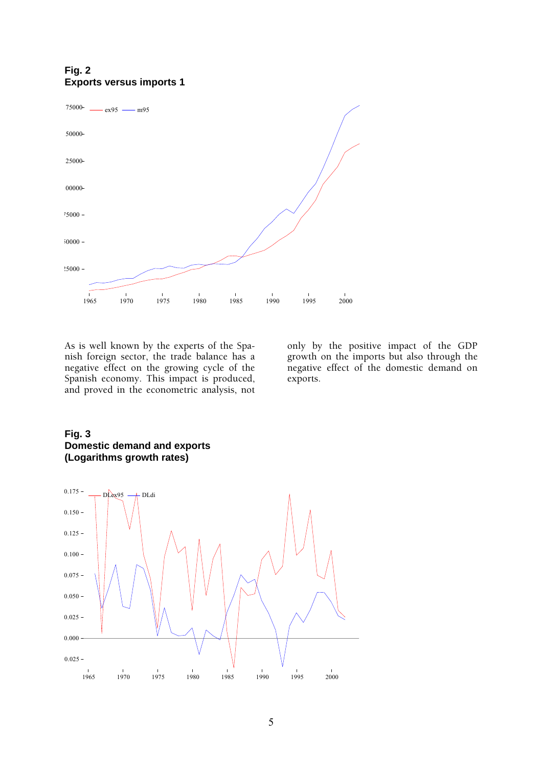### **Fig. 2 Exports versus imports 1**



As is well known by the experts of the Spanish foreign sector, the trade balance has a negative effect on the growing cycle of the Spanish economy. This impact is produced, and proved in the econometric analysis, not

only by the positive impact of the GDP growth on the imports but also through the negative effect of the domestic demand on exports.

### **Fig. 3 Domestic demand and exports (Logarithms growth rates)**

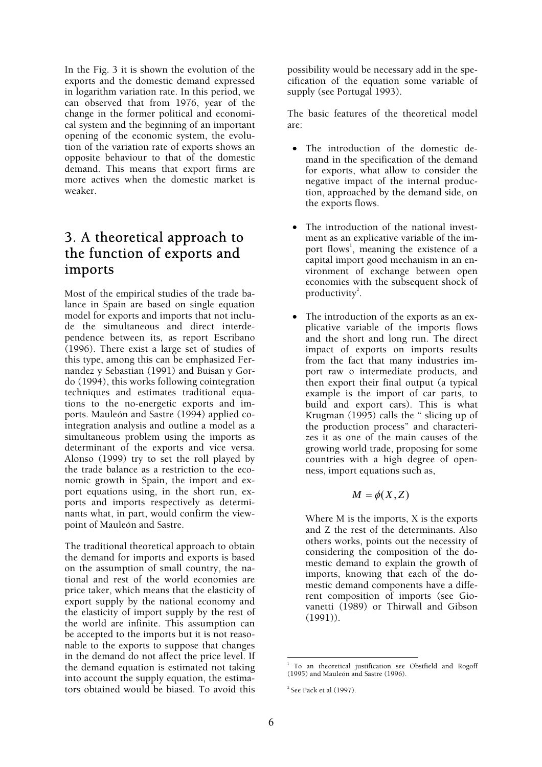In the Fig. 3 it is shown the evolution of the exports and the domestic demand expressed in logarithm variation rate. In this period, we can observed that from 1976, year of the change in the former political and economical system and the beginning of an important opening of the economic system, the evolution of the variation rate of exports shows an opposite behaviour to that of the domestic demand. This means that export firms are more actives when the domestic market is weaker.

## 3. A theoretical approach to the function of exports and imports

Most of the empirical studies of the trade balance in Spain are based on single equation model for exports and imports that not include the simultaneous and direct interdependence between its, as report Escribano (1996). There exist a large set of studies of this type, among this can be emphasized Fernandez y Sebastian (1991) and Buisan y Gordo (1994), this works following cointegration techniques and estimates traditional equations to the no-energetic exports and imports. Mauleón and Sastre (1994) applied cointegration analysis and outline a model as a simultaneous problem using the imports as determinant of the exports and vice versa. Alonso (1999) try to set the roll played by the trade balance as a restriction to the economic growth in Spain, the import and export equations using, in the short run, exports and imports respectively as determinants what, in part, would confirm the viewpoint of Mauleón and Sastre.

The traditional theoretical approach to obtain the demand for imports and exports is based on the assumption of small country, the national and rest of the world economies are price taker, which means that the elasticity of export supply by the national economy and the elasticity of import supply by the rest of the world are infinite. This assumption can be accepted to the imports but it is not reasonable to the exports to suppose that changes in the demand do not affect the price level. If the demand equation is estimated not taking into account the supply equation, the estimators obtained would be biased. To avoid this possibility would be necessary add in the specification of the equation some variable of supply (see Portugal 1993).

The basic features of the theoretical model are:

- The introduction of the domestic demand in the specification of the demand for exports, what allow to consider the negative impact of the internal production, approached by the demand side, on the exports flows.
- The introduction of the national investment as an explicative variable of the import flows<sup>1</sup>, meaning the existence of a capital import good mechanism in an environment of exchange between open economies with the subsequent shock of productivity<sup>2</sup>.
- The introduction of the exports as an explicative variable of the imports flows and the short and long run. The direct impact of exports on imports results from the fact that many industries import raw o intermediate products, and then export their final output (a typical example is the import of car parts, to build and export cars). This is what Krugman (1995) calls the " slicing up of the production process" and characterizes it as one of the main causes of the growing world trade, proposing for some countries with a high degree of openness, import equations such as,

$$
M=\phi(X,Z)
$$

Where M is the imports, X is the exports and Z the rest of the determinants. Also others works, points out the necessity of considering the composition of the domestic demand to explain the growth of imports, knowing that each of the domestic demand components have a different composition of imports (see Giovanetti (1989) or Thirwall and Gibson (1991)).

 1 To an theoretical justification see Obstfield and Rogoff (1995) and Mauleón and Sastre (1996).

 $2$  See Pack et al (1997).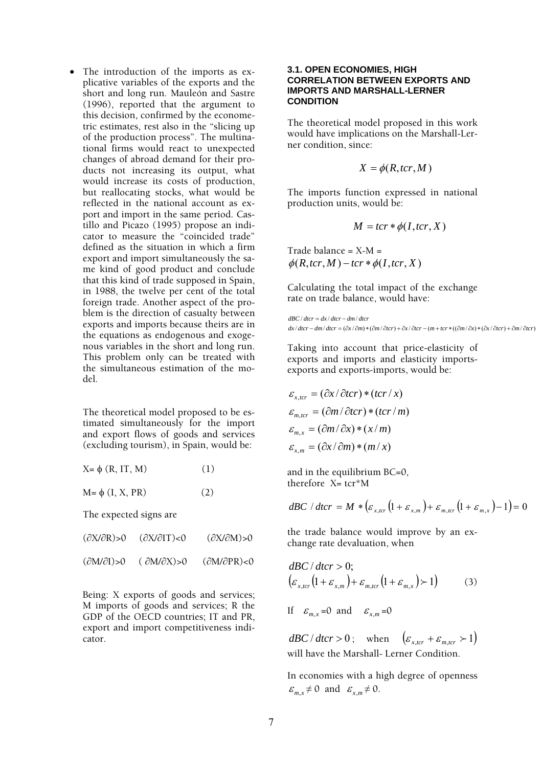• The introduction of the imports as explicative variables of the exports and the short and long run. Mauleón and Sastre (1996), reported that the argument to this decision, confirmed by the econometric estimates, rest also in the "slicing up of the production process". The multinational firms would react to unexpected changes of abroad demand for their products not increasing its output, what would increase its costs of production, but reallocating stocks, what would be reflected in the national account as export and import in the same period. Castillo and Picazo (1995) propose an indicator to measure the "coincided trade" defined as the situation in which a firm export and import simultaneously the same kind of good product and conclude that this kind of trade supposed in Spain, in 1988, the twelve per cent of the total foreign trade. Another aspect of the problem is the direction of casualty between exports and imports because theirs are in the equations as endogenous and exogenous variables in the short and long run. This problem only can be treated with the simultaneous estimation of the model.

The theoretical model proposed to be estimated simultaneously for the import and export flows of goods and services (excluding tourism), in Spain, would be:

| $X = \phi(R, IT, M)$ |  | (1) |
|----------------------|--|-----|
|----------------------|--|-----|

 $M = φ (I, X, PR)$  (2)

The expected signs are

| $(\partial X/\partial R) > 0$ | $(\partial X/\partial T)<0$   | $(\partial X/\partial M) > 0$ |
|-------------------------------|-------------------------------|-------------------------------|
| $(\partial M/\partial I) > 0$ | $(\partial M/\partial X) > 0$ | $(\partial M/\partial PR)$ <0 |

Being: X exports of goods and services; M imports of goods and services; R the GDP of the OECD countries; IT and PR, export and import competitiveness indicator.

#### **3.1. OPEN ECONOMIES, HIGH CORRELATION BETWEEN EXPORTS AND IMPORTS AND MARSHALL-LERNER CONDITION**

The theoretical model proposed in this work would have implications on the Marshall-Lerner condition, since:

$$
X = \phi(R, tcr, M)
$$

The imports function expressed in national production units, would be:

$$
M = tcr * \phi(I, tcr, X)
$$

Trade balance =  $X-M =$  $\phi(R, \text{tcr}, M) - \text{tcr} * \phi(I, \text{tcr}, X)$ 

Calculating the total impact of the exchange rate on trade balance, would have:

 $dx/dt$ cr  $-dm/dt$ cr  $=(\partial x/\partial m)*( \partial m/\partial t$ cr) +  $\partial x/\partial t$ cr  $-(m+tcr*((\partial m/\partial x)*( \partial x/\partial t c r)+\partial m/\partial t c r)$  $dBC/dt$ cr =  $dx/dt$ cr –  $dm/dt$ cr

Taking into account that price-elasticity of exports and imports and elasticity importsexports and exports-imports, would be:

$$
\varepsilon_{x,tor} = (\partial x / \partial t c r) * (t c r / x)
$$

$$
\varepsilon_{m,tor} = (\partial m / \partial t c r) * (t c r / m)
$$

$$
\varepsilon_{m,x} = (\partial m / \partial x) * (x / m)
$$

$$
\varepsilon_{x,m} = (\partial x / \partial m) * (m / x)
$$

and in the equilibrium BC=0, therefore  $X=$  tcr\*M

$$
dBC / dtcr = M * (\varepsilon_{x,tcr} (1 + \varepsilon_{x,m}) + \varepsilon_{m,tcr} (1 + \varepsilon_{m,x}) - 1) = 0
$$

the trade balance would improve by an exchange rate devaluation, when

$$
\begin{aligned} & dBC \, / \, dtcr > 0; \\ & \left( \varepsilon_{x,tcr} \left( 1 + \varepsilon_{x,m} \right) + \varepsilon_{m,tcr} \left( 1 + \varepsilon_{m,x} \right) > 1 \right) \end{aligned} \tag{3}
$$

If  $\varepsilon_{m,x} = 0$  and  $\varepsilon_{x,m} = 0$ 

 $dBC/dt$ *cr* > 0; when  $(\varepsilon_{r,tr} + \varepsilon_{m,ter} > 1)$ will have the Marshall- Lerner Condition.

In economies with a high degree of openness  $\varepsilon_{m,x} \neq 0$  and  $\varepsilon_{x,m} \neq 0$ .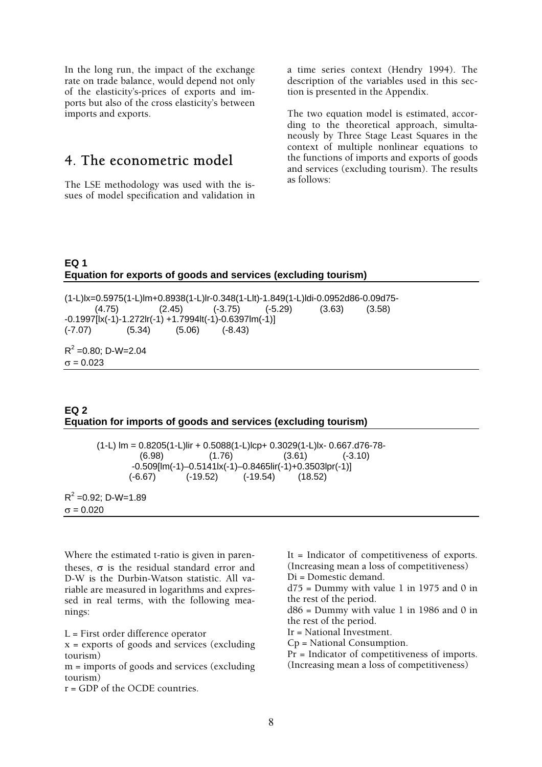In the long run, the impact of the exchange rate on trade balance, would depend not only of the elasticity's-prices of exports and imports but also of the cross elasticity's between imports and exports.

## 4. The econometric model

The LSE methodology was used with the issues of model specification and validation in a time series context (Hendry 1994). The description of the variables used in this section is presented in the Appendix.

The two equation model is estimated, according to the theoretical approach, simultaneously by Three Stage Least Squares in the context of multiple nonlinear equations to the functions of imports and exports of goods and services (excluding tourism). The results as follows:

### **EQ 1 Equation for exports of goods and services (excluding tourism)**

```
(1-L)lx=0.5975(1-L)lm+0.8938(1-L)lr-0.348(1-Llt)-1.849(1-L)ldi-0.0952d86-0.09d75- 
 (4.75) (2.45) (-3.75) (-5.29) (3.63) (3.58) 
-0.1997[lx(-1)-1.272lr(-1) +1.7994lt(-1)-0.6397lm(-1)] 
(-7.07) (5.34) (5.06) (-8.43) 
R^2 =0.80; D-W=2.04
σ = 0.023
```
### **EQ 2 Equation for imports of goods and services (excluding tourism)**

(1-L) lm = 0.8205(1-L)lir + 0.5088(1-L)lcp+ 0.3029(1-L)lx- 0.667.d76-78-  $(6.98)$   $(1.76)$   $(3.61)$   $(-3.10)$  $-0.509$ [lm(-1)–0.5141lx(-1)–0.8465lir(-1)+0.3503lpr(-1)] (-6.67) (-19.52) (-19.54) (18.52)

 $R^2$  =0.92; D-W=1.89  $σ = 0.020$ 

Where the estimated t-ratio is given in parentheses, σ is the residual standard error and D-W is the Durbin-Watson statistic. All variable are measured in logarithms and expressed in real terms, with the following meanings:

L = First order difference operator

x = exports of goods and services (excluding tourism)

m = imports of goods and services (excluding tourism)

r = GDP of the OCDE countries.

It = Indicator of competitiveness of exports. (Increasing mean a loss of competitiveness) Di = Domestic demand.  $d75$  = Dummy with value 1 in 1975 and 0 in the rest of the period.  $d86$  = Dummy with value 1 in 1986 and 0 in the rest of the period. Ir = National Investment. Cp = National Consumption. Pr = Indicator of competitiveness of imports. (Increasing mean a loss of competitiveness)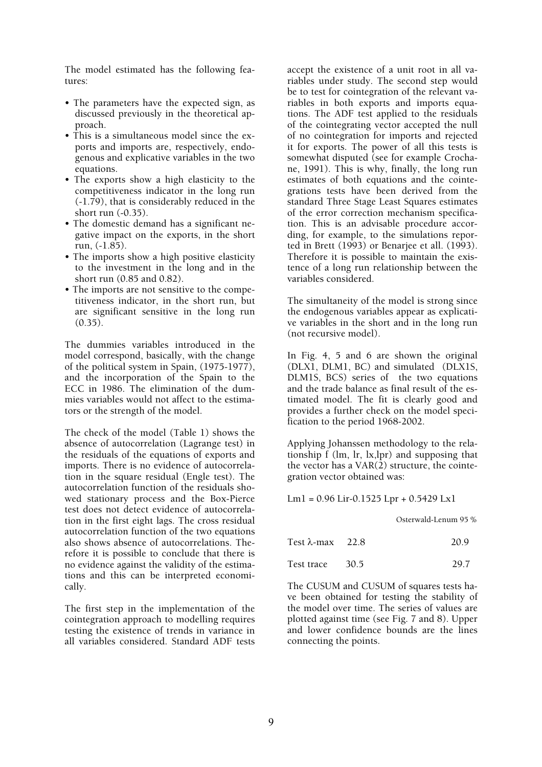The model estimated has the following features:

- The parameters have the expected sign, as discussed previously in the theoretical approach.
- This is a simultaneous model since the exports and imports are, respectively, endogenous and explicative variables in the two equations.
- The exports show a high elasticity to the competitiveness indicator in the long run (-1.79), that is considerably reduced in the short run (-0.35).
- The domestic demand has a significant negative impact on the exports, in the short run, (-1.85).
- The imports show a high positive elasticity to the investment in the long and in the short run (0.85 and 0.82).
- The imports are not sensitive to the competitiveness indicator, in the short run, but are significant sensitive in the long run (0.35).

The dummies variables introduced in the model correspond, basically, with the change of the political system in Spain, (1975-1977), and the incorporation of the Spain to the ECC in 1986. The elimination of the dummies variables would not affect to the estimators or the strength of the model.

The check of the model (Table 1) shows the absence of autocorrelation (Lagrange test) in the residuals of the equations of exports and imports. There is no evidence of autocorrelation in the square residual (Engle test). The autocorrelation function of the residuals showed stationary process and the Box-Pierce test does not detect evidence of autocorrelation in the first eight lags. The cross residual autocorrelation function of the two equations also shows absence of autocorrelations. Therefore it is possible to conclude that there is no evidence against the validity of the estimations and this can be interpreted economically.

The first step in the implementation of the cointegration approach to modelling requires testing the existence of trends in variance in all variables considered. Standard ADF tests accept the existence of a unit root in all variables under study. The second step would be to test for cointegration of the relevant variables in both exports and imports equations. The ADF test applied to the residuals of the cointegrating vector accepted the null of no cointegration for imports and rejected it for exports. The power of all this tests is somewhat disputed (see for example Crochane, 1991). This is why, finally, the long run estimates of both equations and the cointegrations tests have been derived from the standard Three Stage Least Squares estimates of the error correction mechanism specification. This is an advisable procedure according, for example, to the simulations reported in Brett (1993) or Benarjee et all. (1993). Therefore it is possible to maintain the existence of a long run relationship between the variables considered.

The simultaneity of the model is strong since the endogenous variables appear as explicative variables in the short and in the long run (not recursive model).

In Fig. 4, 5 and 6 are shown the original (DLX1, DLM1, BC) and simulated (DLX1S, DLM1S, BCS) series of the two equations and the trade balance as final result of the estimated model. The fit is clearly good and provides a further check on the model specification to the period 1968-2002.

Applying Johanssen methodology to the relationship f (lm, lr, lx,lpr) and supposing that the vector has a VAR(2) structure, the cointegration vector obtained was:

Lm1 = 0.96 Lir-0.1525 Lpr + 0.5429 Lx1

Osterwald-Lenum 95 %

| Test $\lambda$ -max 22.8 | 20.9 |  |
|--------------------------|------|--|
| Test trace 30.5          | 29.7 |  |

The CUSUM and CUSUM of squares tests have been obtained for testing the stability of the model over time. The series of values are plotted against time (see Fig. 7 and 8). Upper and lower confidence bounds are the lines connecting the points.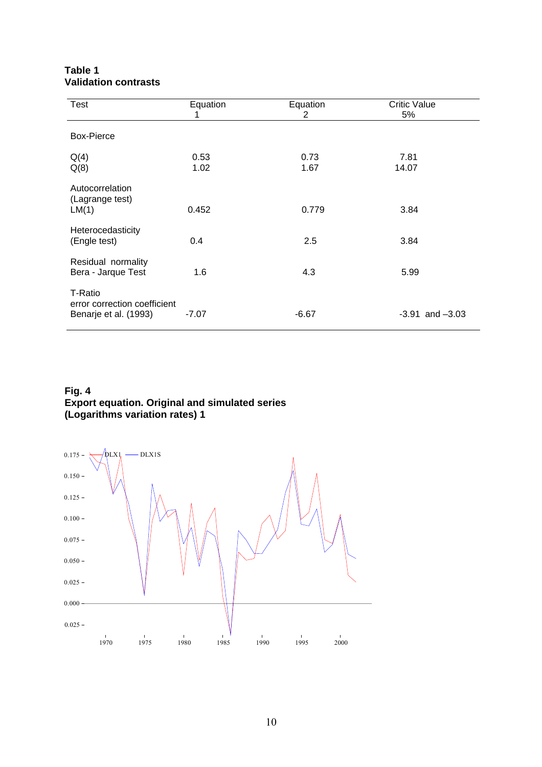| <b>Test</b>                                                      | Equation     | Equation<br>2 | <b>Critic Value</b><br>5% |
|------------------------------------------------------------------|--------------|---------------|---------------------------|
| <b>Box-Pierce</b>                                                |              |               |                           |
| Q(4)<br>Q(8)                                                     | 0.53<br>1.02 | 0.73<br>1.67  | 7.81<br>14.07             |
| Autocorrelation<br>(Lagrange test)<br>LM(1)                      | 0.452        | 0.779         | 3.84                      |
| Heterocedasticity<br>(Engle test)                                | 0.4          | 2.5           | 3.84                      |
| Residual normality<br>Bera - Jarque Test                         | 1.6          | 4.3           | 5.99                      |
| T-Ratio<br>error correction coefficient<br>Benarje et al. (1993) | $-7.07$      | $-6.67$       | $-3.91$ and $-3.03$       |

### **Table 1 Validation contrasts**

### **Fig. 4 Export equation. Original and simulated series (Logarithms variation rates) 1**

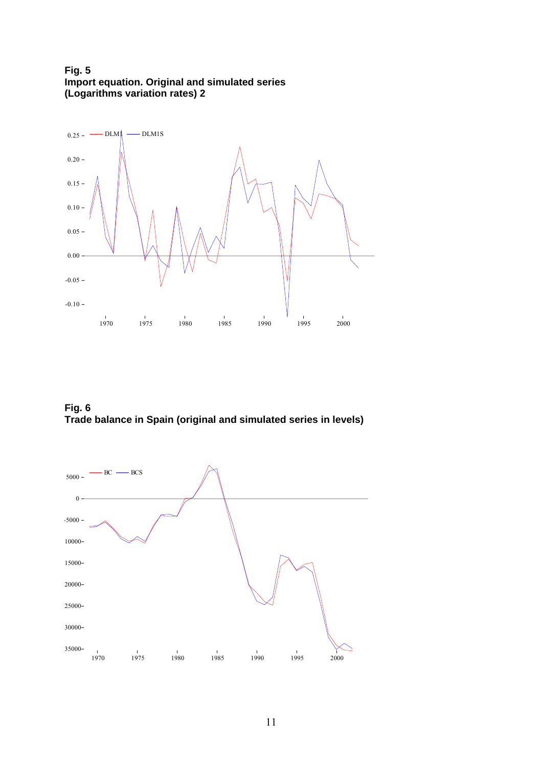**Fig. 5 Import equation. Original and simulated series (Logarithms variation rates) 2** 



**Fig. 6 Trade balance in Spain (original and simulated series in levels)** 

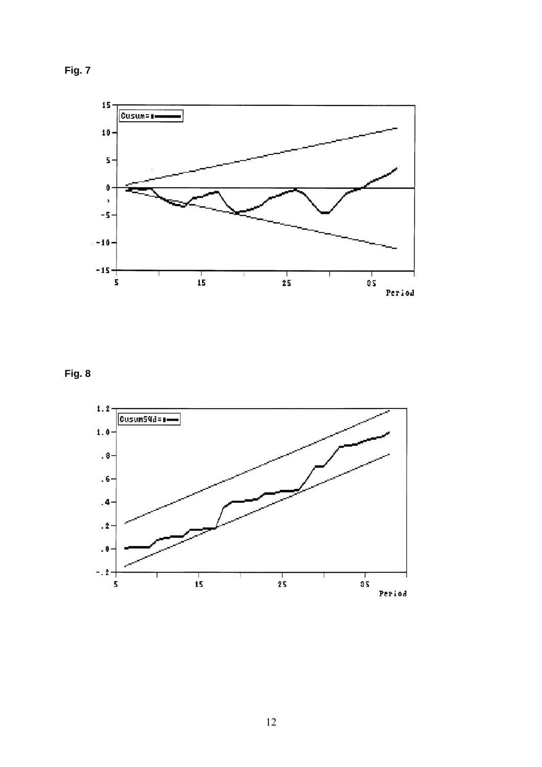



**Fig. 8** 

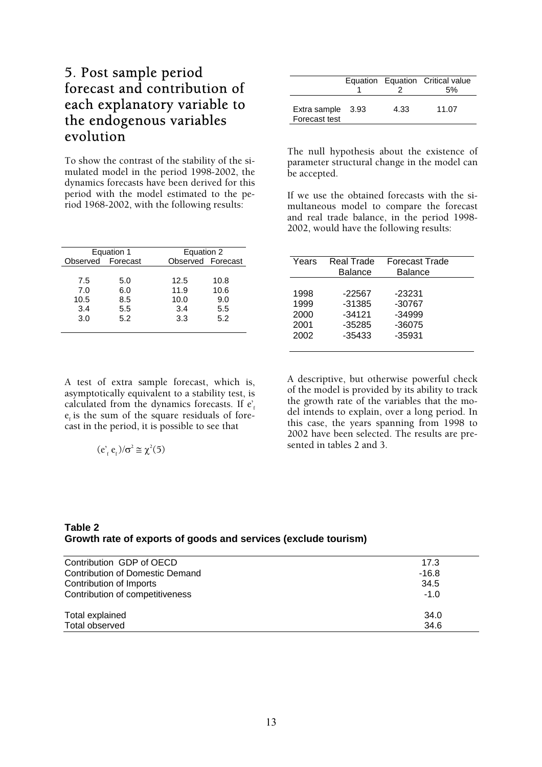## 5. Post sample period forecast and contribution of each explanatory variable to the endogenous variables evolution

To show the contrast of the stability of the simulated model in the period 1998-2002, the dynamics forecasts have been derived for this period with the model estimated to the period 1968-2002, with the following results:

|                   | Equation 1 | Equation 2        |      |
|-------------------|------------|-------------------|------|
| Observed Forecast |            | Observed Forecast |      |
|                   |            |                   |      |
| 7.5               | 5.0        | 12.5              | 10.8 |
| 7.0               | 6.0        | 11.9              | 10.6 |
| 10.5              | 8.5        | 10.0              | 9.0  |
| 3.4               | 5.5        | 3.4               | 5.5  |
| 3.0               | 5.2        | 3.3               | 5.2  |
|                   |            |                   |      |

A test of extra sample forecast, which is, asymptotically equivalent to a stability test, is calculated from the dynamics forecasts. If  $e'$ .  $e<sub>r</sub>$  is the sum of the square residuals of forecast in the period, it is possible to see that

$$
(e_f e_f)/\sigma^2 \cong \chi^2(5)
$$

|                                    |      | Equation Equation Critical value |
|------------------------------------|------|----------------------------------|
|                                    |      | .5%                              |
| Extra sample 3.93<br>Forecast test | 4.33 | 11.07                            |

The null hypothesis about the existence of parameter structural change in the model can be accepted.

If we use the obtained forecasts with the simultaneous model to compare the forecast and real trade balance, in the period 1998- 2002, would have the following results:

| Years | Real Trade<br><b>Balance</b> | <b>Forecast Trade</b><br><b>Balance</b> |  |
|-------|------------------------------|-----------------------------------------|--|
| 1998  | -22567                       | $-23231$                                |  |
| 1999  | $-31385$                     | $-30767$                                |  |
| 2000  | $-34121$                     | $-34999$                                |  |
| 2001  | $-35285$                     | $-36075$                                |  |
| 2002  | $-35433$                     | $-35931$                                |  |

A descriptive, but otherwise powerful check of the model is provided by its ability to track the growth rate of the variables that the model intends to explain, over a long period. In this case, the years spanning from 1998 to 2002 have been selected. The results are presented in tables 2 and 3.

### **Table 2 Growth rate of exports of goods and services (exclude tourism)**

| Contribution GDP of OECD        | 17.3    |
|---------------------------------|---------|
| Contribution of Domestic Demand | $-16.8$ |
| Contribution of Imports         | 34.5    |
| Contribution of competitiveness | $-1.0$  |
| Total explained                 | 34.0    |
| Total observed                  | 34.6    |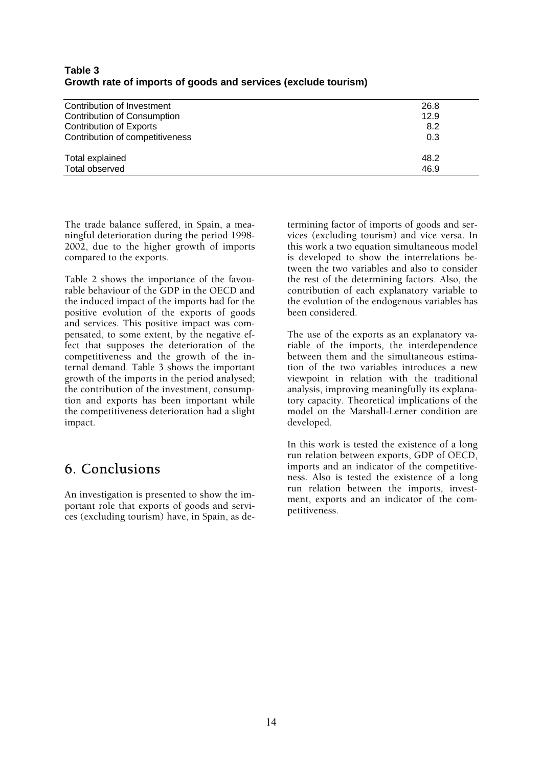| Contribution of Investment      | 26.8 |
|---------------------------------|------|
| Contribution of Consumption     | 12.9 |
| <b>Contribution of Exports</b>  | 8.2  |
| Contribution of competitiveness | 0.3  |
| Total explained                 | 48.2 |
| Total observed                  | 46.9 |

### **Table 3 Growth rate of imports of goods and services (exclude tourism)**

The trade balance suffered, in Spain, a meaningful deterioration during the period 1998- 2002, due to the higher growth of imports compared to the exports.

Table 2 shows the importance of the favourable behaviour of the GDP in the OECD and the induced impact of the imports had for the positive evolution of the exports of goods and services. This positive impact was compensated, to some extent, by the negative effect that supposes the deterioration of the competitiveness and the growth of the internal demand. Table 3 shows the important growth of the imports in the period analysed; the contribution of the investment, consumption and exports has been important while the competitiveness deterioration had a slight impact.

## 6. Conclusions

An investigation is presented to show the important role that exports of goods and services (excluding tourism) have, in Spain, as determining factor of imports of goods and services (excluding tourism) and vice versa. In this work a two equation simultaneous model is developed to show the interrelations between the two variables and also to consider the rest of the determining factors. Also, the contribution of each explanatory variable to the evolution of the endogenous variables has been considered.

The use of the exports as an explanatory variable of the imports, the interdependence between them and the simultaneous estimation of the two variables introduces a new viewpoint in relation with the traditional analysis, improving meaningfully its explanatory capacity. Theoretical implications of the model on the Marshall-Lerner condition are developed.

In this work is tested the existence of a long run relation between exports, GDP of OECD, imports and an indicator of the competitiveness. Also is tested the existence of a long run relation between the imports, investment, exports and an indicator of the competitiveness.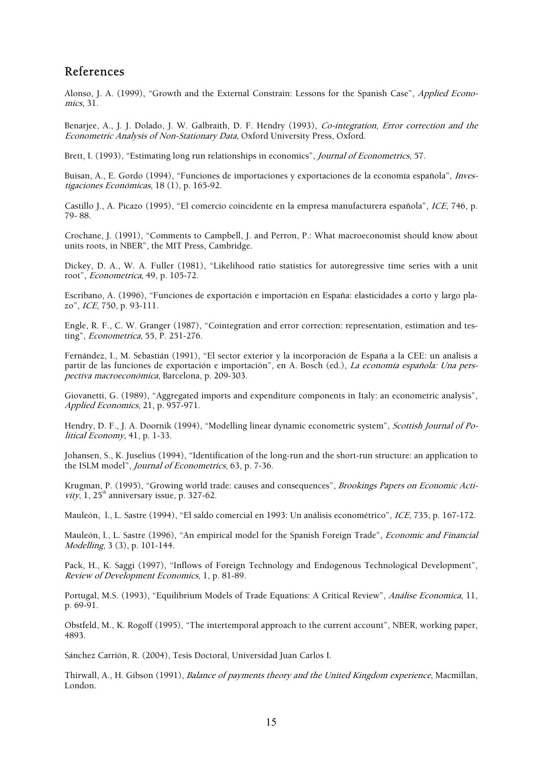### References

Alonso, J. A. (1999), "Growth and the External Constrain: Lessons for the Spanish Case", *Applied Econo*mics, 31.

Benariee, A., J. J. Dolado, J. W. Galbraith, D. F. Hendry (1993), Co-integration, Error correction and the Econometric Analysis of Non-Stationary Data, Oxford University Press, Oxford.

Brett, I. (1993), "Estimating long run relationships in economics", *Journal of Econometrics*, 57.

Buisan, A., E. Gordo (1994), "Funciones de importaciones y exportaciones de la economía española", Investigaciones Económicas, 18 (1), p. 165-92.

Castillo J., A. Picazo (1995), "El comercio coincidente en la empresa manufacturera española", ICE, 746, p. 79- 88.

Crochane, J. (1991), "Comments to Campbell, J. and Perron, P.: What macroeconomist should know about units roots, in NBER", the MIT Press, Cambridge.

Dickey, D. A., W. A. Fuller (1981), "Likelihood ratio statistics for autoregressive time series with a unit root", Econometrica, 49, p. 105-72.

Escribano, A. (1996), "Funciones de exportación e importación en España: elasticidades a corto y largo plazo", ICE, 750, p. 93-111.

Engle, R. F., C. W. Granger (1987), "Cointegration and error correction: representation, estimation and testing", Econometrica, 55, P. 251-276.

Fernández, I., M. Sebastián (1991), "El sector exterior y la incorporación de España a la CEE: un análisis a partir de las funciones de exportación e importación", en A. Bosch (ed.), La economía española: Una perspectiva macroeconómica, Barcelona, p. 209-303.

Giovanetti, G. (1989), "Aggregated imports and expenditure components in Italy: an econometric analysis", Applied Economics, 21, p. 957-971.

Hendry, D. F., J. A. Doornik (1994), "Modelling linear dynamic econometric system", Scottish Journal of Political Economy, 41, p. 1-33.

Johansen, S., K. Juselius (1994), "Identification of the long-run and the short-run structure: an application to the ISLM model", Journal of Econometrics, 63, p. 7-36.

Krugman, P. (1995), "Growing world trade: causes and consequences", Brookings Papers on Economic Activity, 1,  $25<sup>th</sup>$  anniversary issue, p. 327-62.

Mauleón, l., L. Sastre (1994), "El saldo comercial en 1993: Un análisis econométrico", ICE, 735, p. 167-172.

Mauleón, l., L. Sastre (1996), "An empirical model for the Spanish Foreign Trade", *Economic and Financial* Modelling, 3 (3), p. 101-144.

Pack, H., K. Saggi (1997), "Inflows of Foreign Technology and Endogenous Technological Development", Review of Development Economics, 1, p. 81-89.

Portugal, M.S. (1993), "Equilibrium Models of Trade Equations: A Critical Review", Análise Economica, 11, p. 69-91.

Obstfeld, M., K. Rogoff (1995), "The intertemporal approach to the current account", NBER, working paper, 4893.

Sánchez Carrión, R. (2004), Tesis Doctoral, Universidad Juan Carlos I.

Thirwall, A., H. Gibson (1991), *Balance of payments theory and the United Kingdom experience*, Macmillan, London.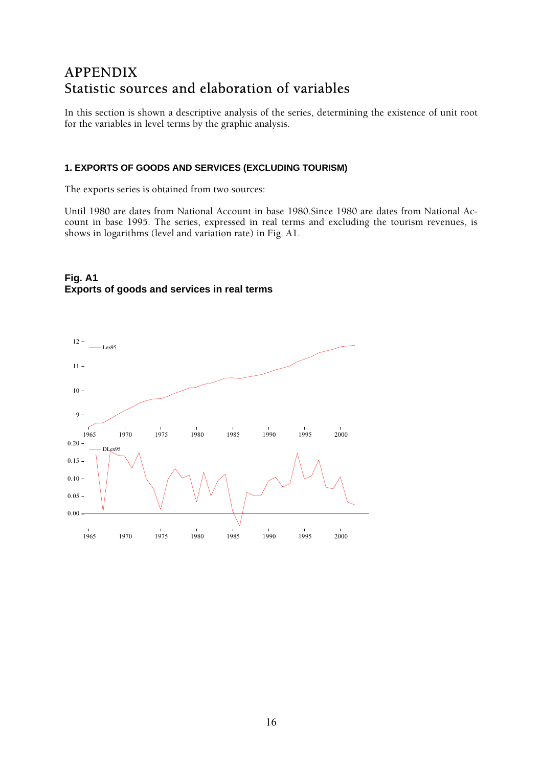## APPENDIX Statistic sources and elaboration of variables

In this section is shown a descriptive analysis of the series, determining the existence of unit root for the variables in level terms by the graphic analysis.

### **1. EXPORTS OF GOODS AND SERVICES (EXCLUDING TOURISM)**

The exports series is obtained from two sources:

Until 1980 are dates from National Account in base 1980.Since 1980 are dates from National Account in base 1995. The series, expressed in real terms and excluding the tourism revenues, is shows in logarithms (level and variation rate) in Fig. A1.

### **Fig. A1 Exports of goods and services in real terms**

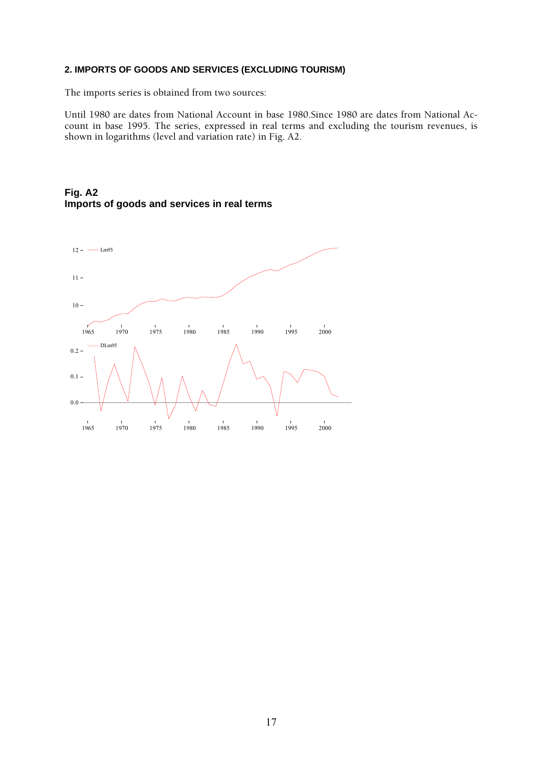### **2. IMPORTS OF GOODS AND SERVICES (EXCLUDING TOURISM)**

The imports series is obtained from two sources:

Until 1980 are dates from National Account in base 1980.Since 1980 are dates from National Account in base 1995. The series, expressed in real terms and excluding the tourism revenues, is shown in logarithms (level and variation rate) in Fig. A2.

### **Fig. A2 Imports of goods and services in real terms**

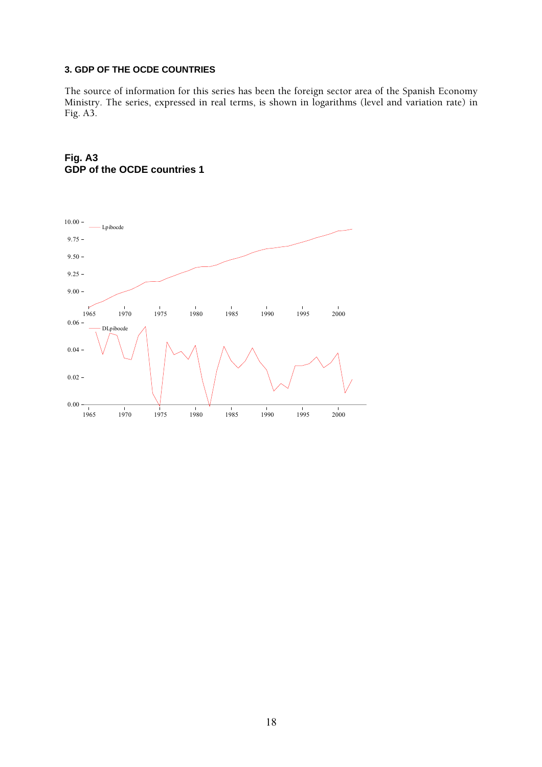### **3. GDP OF THE OCDE COUNTRIES**

The source of information for this series has been the foreign sector area of the Spanish Economy Ministry. The series, expressed in real terms, is shown in logarithms (level and variation rate) in Fig. A3.



### **Fig. A3 GDP of the OCDE countries 1**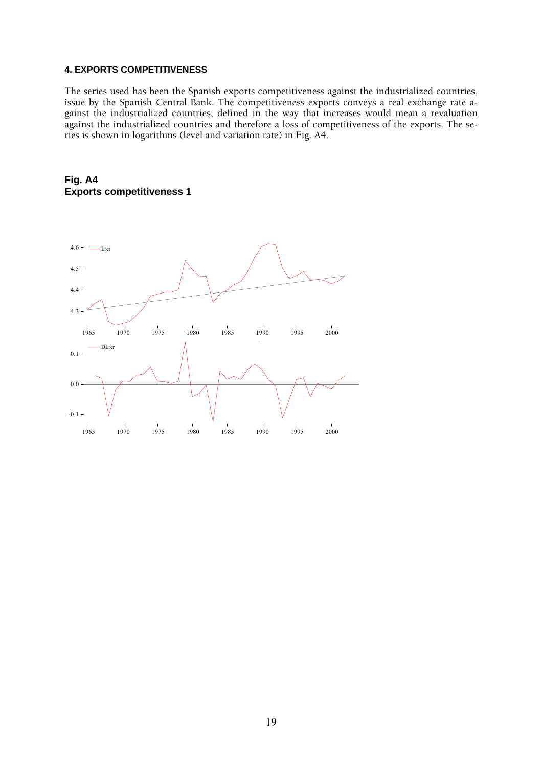#### **4. EXPORTS COMPETITIVENESS**

The series used has been the Spanish exports competitiveness against the industrialized countries, issue by the Spanish Central Bank. The competitiveness exports conveys a real exchange rate against the industrialized countries, defined in the way that increases would mean a revaluation against the industrialized countries and therefore a loss of competitiveness of the exports. The series is shown in logarithms (level and variation rate) in Fig. A4.



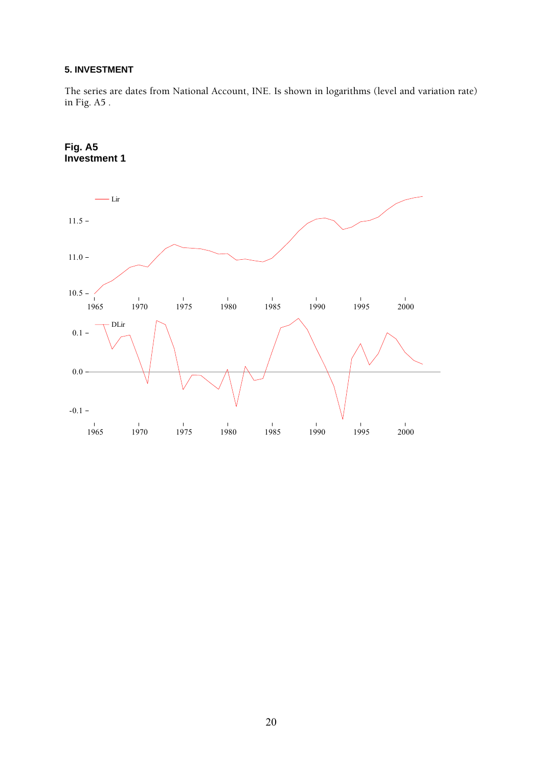### **5. INVESTMENT**

The series are dates from National Account, INE. Is shown in logarithms (level and variation rate) in Fig. A5 .



**Fig. A5**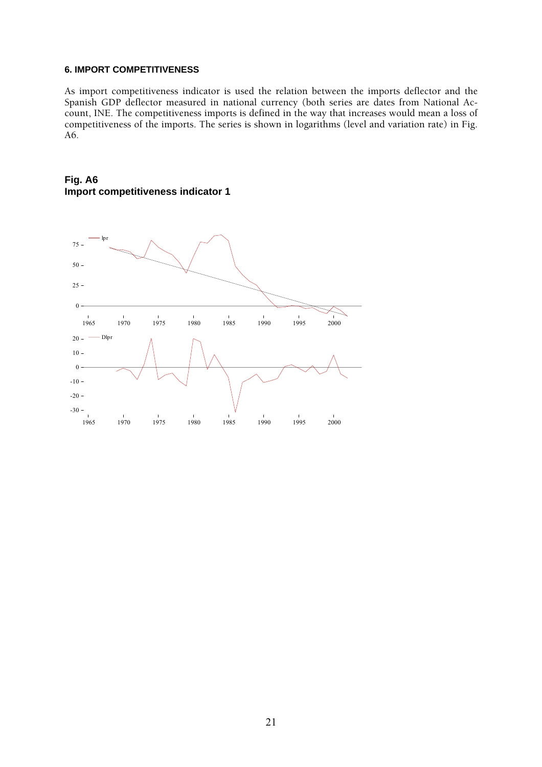#### **6. IMPORT COMPETITIVENESS**

As import competitiveness indicator is used the relation between the imports deflector and the Spanish GDP deflector measured in national currency (both series are dates from National Account, INE. The competitiveness imports is defined in the way that increases would mean a loss of competitiveness of the imports. The series is shown in logarithms (level and variation rate) in Fig. A6.

### **Fig. A6 Import competitiveness indicator 1**